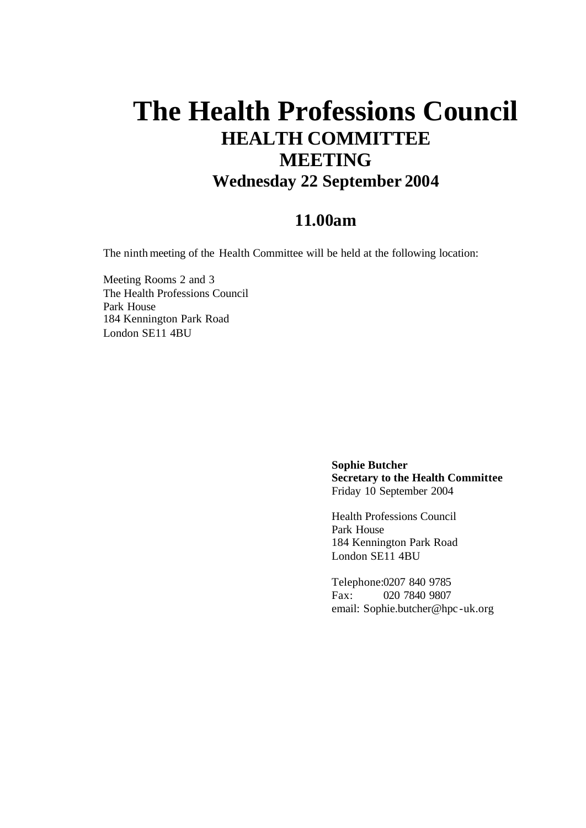## **The Health Professions Council HEALTH COMMITTEE MEETING Wednesday 22 September 2004**

## **11.00am**

The ninth meeting of the Health Committee will be held at the following location:

Meeting Rooms 2 and 3 The Health Professions Council Park House 184 Kennington Park Road London SE11 4BU

> **Sophie Butcher Secretary to the Health Committee** Friday 10 September 2004

Health Professions Council Park House 184 Kennington Park Road London SE11 4BU

Telephone:0207 840 9785 Fax: 020 7840 9807 email: Sophie.butcher@hpc -uk.org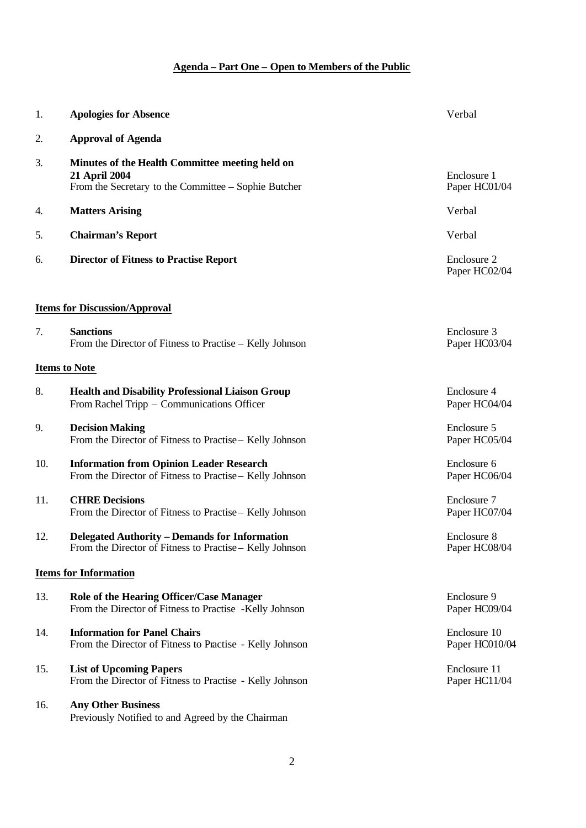## **Agenda – Part One – Open to Members of the Public**

| 1.  | <b>Apologies for Absence</b>                                                                                             | Verbal                         |
|-----|--------------------------------------------------------------------------------------------------------------------------|--------------------------------|
| 2.  | <b>Approval of Agenda</b>                                                                                                |                                |
| 3.  | Minutes of the Health Committee meeting held on<br>21 April 2004<br>From the Secretary to the Committee – Sophie Butcher | Enclosure 1<br>Paper HC01/04   |
| 4.  | <b>Matters Arising</b>                                                                                                   | Verbal                         |
| 5.  | <b>Chairman's Report</b>                                                                                                 | Verbal                         |
| 6.  | <b>Director of Fitness to Practise Report</b>                                                                            | Enclosure 2<br>Paper HC02/04   |
|     | <b>Items for Discussion/Approval</b>                                                                                     |                                |
| 7.  | <b>Sanctions</b><br>From the Director of Fitness to Practise – Kelly Johnson                                             | Enclosure 3<br>Paper HC03/04   |
|     | <b>Items to Note</b>                                                                                                     |                                |
| 8.  | <b>Health and Disability Professional Liaison Group</b><br>From Rachel Tripp – Communications Officer                    | Enclosure 4<br>Paper HC04/04   |
| 9.  | <b>Decision Making</b><br>From the Director of Fitness to Practise - Kelly Johnson                                       | Enclosure 5<br>Paper HC05/04   |
| 10. | <b>Information from Opinion Leader Research</b><br>From the Director of Fitness to Practise - Kelly Johnson              | Enclosure 6<br>Paper HC06/04   |
| 11. | <b>CHRE</b> Decisions<br>From the Director of Fitness to Practise – Kelly Johnson                                        | Enclosure 7<br>Paper HC07/04   |
| 12. | <b>Delegated Authority – Demands for Information</b><br>From the Director of Fitness to Practise - Kelly Johnson         | Enclosure 8<br>Paper HC08/04   |
|     | <b>Items for Information</b>                                                                                             |                                |
| 13. | Role of the Hearing Officer/Case Manager<br>From the Director of Fitness to Practise -Kelly Johnson                      | Enclosure 9<br>Paper HC09/04   |
| 14. | <b>Information for Panel Chairs</b><br>From the Director of Fitness to Practise - Kelly Johnson                          | Enclosure 10<br>Paper HC010/04 |
| 15. | <b>List of Upcoming Papers</b><br>From the Director of Fitness to Practise - Kelly Johnson                               | Enclosure 11<br>Paper HC11/04  |
| 16. | <b>Any Other Business</b><br>Previously Notified to and Agreed by the Chairman                                           |                                |